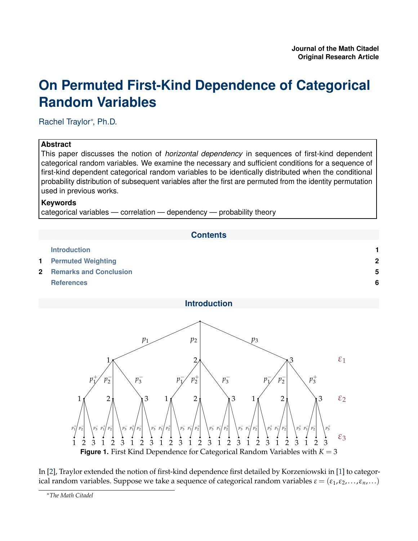# <span id="page-0-0"></span>**On Permuted First-Kind Dependence of Categorical Random Variables**

Rachel Traylor<sup>∗</sup> , Ph.D.

# **Abstract**

This paper discusses the notion of *horizontal dependency* in sequences of first-kind dependent categorical random variables. We examine the necessary and sufficient conditions for a sequence of first-kind dependent categorical random variables to be identically distributed when the conditional probability distribution of subsequent variables after the first are permuted from the identity permutation used in previous works.

## **Keywords**

categorical variables — correlation — dependency — probability theory



## **Introduction**

<span id="page-0-1"></span>

In [\[2\]](#page-5-1), Traylor extended the notion of first-kind dependence first detailed by Korzeniowski in [\[1\]](#page-5-2) to categorical random variables. Suppose we take a sequence of categorical random variables  $\varepsilon = (\varepsilon_1, \varepsilon_2, ..., \varepsilon_n, ...)$ 

<sup>∗</sup>*The Math Citadel*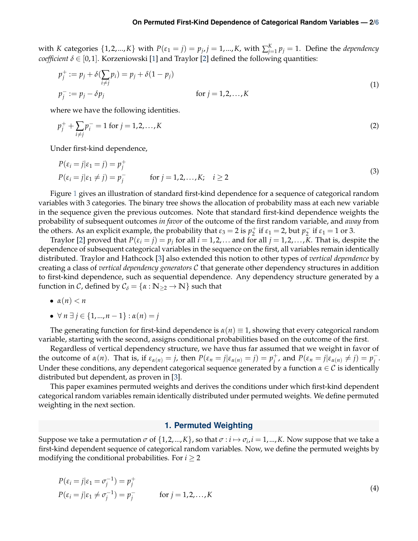with *K* categories  $\{1, 2, ..., K\}$  with  $P(\varepsilon_1 = j) = p_j$ ,  $j = 1, ..., K$ , with  $\sum_{j=1}^{K} p_j = 1$ . Define the *dependency coefficient*  $\delta \in [0,1]$ . Korzeniowski [\[1\]](#page-5-2) and Traylor [\[2\]](#page-5-1) defined the following quantities:

$$
p_j^+ := p_j + \delta(\sum_{i \neq j} p_i) = p_j + \delta(1 - p_j)
$$
  
\n
$$
p_j^- := p_j - \delta p_j
$$
 for  $j = 1, 2, ..., K$  (1)

where we have the following identities.

$$
p_j^+ + \sum_{i \neq j} p_i^- = 1 \text{ for } j = 1, 2, \dots, K
$$
 (2)

Under first-kind dependence,

$$
P(\varepsilon_i = j | \varepsilon_1 = j) = p_j^+
$$
  
\n
$$
P(\varepsilon_i = j | \varepsilon_1 \neq j) = p_j^-
$$
 for  $j = 1, 2, ..., K; i \ge 2$  (3)

Figure [1](#page-0-1) gives an illustration of standard first-kind dependence for a sequence of categorical random variables with 3 categories. The binary tree shows the allocation of probability mass at each new variable in the sequence given the previous outcomes. Note that standard first-kind dependence weights the probability of subsequent outcomes *in favor* of the outcome of the first random variable, and *away* from the others. As an explicit example, the probability that  $\varepsilon_3 = 2$  is  $p_2^+$  $y_2^+$  if  $\varepsilon_1 = 2$ , but  $p_2^ \frac{1}{2}$  if  $\varepsilon_1 = 1$  or 3.

Traylor [\[2\]](#page-5-1) proved that  $P(\varepsilon_i = j) = p_j$  for all  $i = 1, 2, ...$  and for all  $j = 1, 2, ..., K$ . That is, despite the dependence of subsequent categorical variables in the sequence on the first, all variables remain identically distributed. Traylor and Hathcock [\[3\]](#page-5-4) also extended this notion to other types of *vertical dependence* by creating a class of *vertical dependency generators* C that generate other dependency structures in addition to first-kind dependence, such as sequential dependence. Any dependency structure generated by a function in C, defined by  $C_{\delta} = \{\alpha : \mathbb{N}_{\geq 2} \to \mathbb{N}\}\)$  such that

- $\alpha(n) < n$
- ∀ *n* ∃ *j* ∈ {1,...,*n* − 1} : *α*(*n*) = *j*

The generating function for first-kind dependence is  $\alpha(n) \equiv 1$ , showing that every categorical random variable, starting with the second, assigns conditional probabilities based on the outcome of the first.

Regardless of vertical dependency structure, we have thus far assumed that we weight in favor of the outcome of  $\alpha(n)$ . That is, if  $\varepsilon_{\alpha(n)} = j$ , then  $P(\varepsilon_n = j | \varepsilon_{\alpha(n)} = j) = p_j^+$  $j^+$ , and  $P(\varepsilon_n = j | \varepsilon_{\alpha(n)} \neq j) = p_j^$ *j* . Under these conditions, any dependent categorical sequence generated by a function  $\alpha \in \mathcal{C}$  is identically distributed but dependent, as proven in [\[3\]](#page-5-4).

This paper examines permuted weights and derives the conditions under which first-kind dependent categorical random variables remain identically distributed under permuted weights. We define permuted weighting in the next section.

#### **1. Permuted Weighting**

<span id="page-1-0"></span>Suppose we take a permutation  $\sigma$  of  $\{1, 2, ..., K\}$ , so that  $\sigma : i \mapsto \sigma_i$ ,  $i = 1,...,K$ . Now suppose that we take a first-kind dependent sequence of categorical random variables. Now, we define the permuted weights by modifying the conditional probabilities. For  $i \geq 2$ 

$$
P(\varepsilon_i = j | \varepsilon_1 = \sigma_j^{-1}) = p_j^+ P(\varepsilon_i = j | \varepsilon_1 \neq \sigma_j^{-1}) = p_j^- \qquad \text{for } j = 1, 2, ..., K
$$
 (4)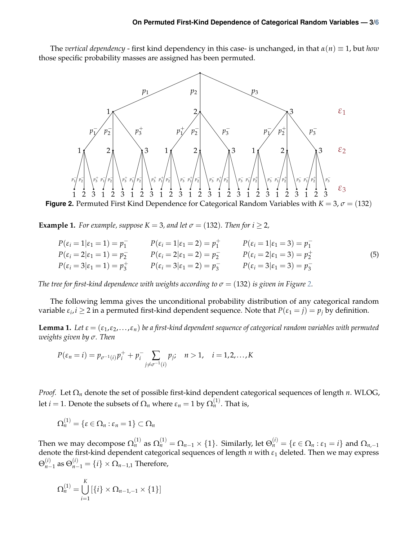<span id="page-2-0"></span>The *vertical dependency* - first kind dependency in this case- is unchanged, in that  $\alpha(n) \equiv 1$ , but *how* those specific probability masses are assigned has been permuted.



**Figure 2.** Permuted First Kind Dependence for Categorical Random Variables with  $K = 3$ ,  $\sigma = (132)$ 

**Example 1.** *For example, suppose*  $K = 3$ *, and let*  $\sigma = (132)$ *. Then for i* > 2*,* 

$$
P(\varepsilon_i = 1 | \varepsilon_1 = 1) = p_1^- \qquad P(\varepsilon_i = 1 | \varepsilon_1 = 2) = p_1^+ \qquad P(\varepsilon_i = 1 | \varepsilon_1 = 3) = p_1^-
$$
  
\n
$$
P(\varepsilon_i = 2 | \varepsilon_1 = 1) = p_2^- \qquad P(\varepsilon_i = 2 | \varepsilon_1 = 2) = p_2^- \qquad P(\varepsilon_i = 2 | \varepsilon_1 = 3) = p_2^+ \qquad (5)
$$
  
\n
$$
P(\varepsilon_i = 3 | \varepsilon_1 = 1) = p_3^+ \qquad P(\varepsilon_i = 3 | \varepsilon_1 = 2) = p_3^- \qquad P(\varepsilon_i = 3 | \varepsilon_1 = 3) = p_3^-
$$

*The tree for first-kind dependence with weights according to*  $\sigma = (132)$  *is given in Figure [2.](#page-2-0)* 

The following lemma gives the unconditional probability distribution of any categorical random variable  $\varepsilon_i$ ,  $i \geq 2$  in a permuted first-kind dependent sequence. Note that  $P(\varepsilon_1 = j) = p_j$  by definition.

<span id="page-2-1"></span>**Lemma 1.** Let  $\varepsilon = (\varepsilon_1, \varepsilon_2, ..., \varepsilon_n)$  be a first-kind dependent sequence of categorical random variables with permuted *weights given by σ. Then*

$$
P(\varepsilon_n = i) = p_{\sigma^{-1}(i)} p_i^+ + p_i^- \sum_{j \neq \sigma^{-1}(i)} p_j; \quad n > 1, \quad i = 1, 2, ..., K
$$

*Proof.* Let Ω*<sup>n</sup>* denote the set of possible first-kind dependent categorical sequences of length *n*. WLOG, let  $i=1.$  Denote the subsets of  $\Omega_n$  where  $\varepsilon_n=1$  by  $\Omega_n^{(1)}.$  That is,

$$
\Omega_n^{(1)}=\{\varepsilon\in\Omega_n:\varepsilon_n=1\}\subset\Omega_n
$$

Then we may decompose  $\Omega_n^{(1)}$  as  $\Omega_n^{(1)}=\Omega_{n-1}\times\{1\}.$  Similarly, let  $\Theta_n^{(i)}=\{\varepsilon\in\Omega_n:\varepsilon_1=i\}$  and  $\Omega_{n,-1}$ denote the first-kind dependent categorical sequences of length *n* with *ε*<sup>1</sup> deleted. Then we may express  $\Theta_{n-}^{(i)}$  $\mathcal{O}_{n-1}^{(i)}$  as  $\Theta_{n-1}^{(i)} = \{i\} \times \Omega_{n-1,1}$  Therefore,

$$
\Omega_n^{(1)} = \bigcup_{i=1}^K \left[ \{i\} \times \Omega_{n-1,-1} \times \{1\} \right]
$$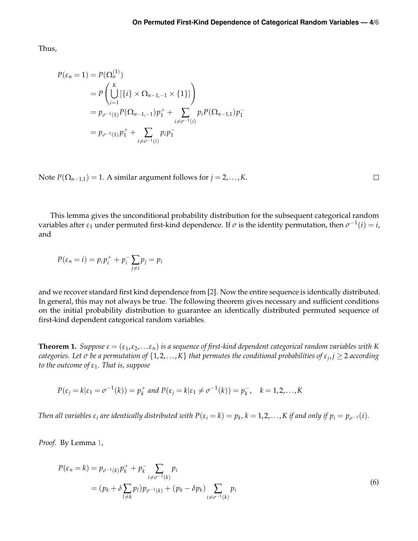Thus,

$$
P(\varepsilon_n = 1) = P(\Omega_n^{(1)})
$$
  
=  $P\left(\bigcup_{i=1}^K [\{i\} \times \Omega_{n-1,-1} \times \{1\}] \right)$   
=  $p_{\sigma^{-1}(1)} P(\Omega_{n-1,-1}) p_1^+ + \sum_{i \neq \sigma^{-1}(i)} p_i P(\Omega_{n-1,1}) p_1^-$   
=  $p_{\sigma^{-1}(1)} p_1^+ + \sum_{i \neq \sigma^{-1}(i)} p_i p_1^-$ 

Note  $P(\Omega_{n-1,1}) = 1$ . A similar argument follows for  $j = 2,..., K$ .

This lemma gives the unconditional probability distribution for the subsequent categorical random variables after  $\varepsilon_1$  under permuted first-kind dependence. If  $\sigma$  is the identity permutation, then  $\sigma^{-1}(i) = i$ , and

$$
P(\varepsilon_n = i) = p_i p_i^+ + p_i^- \sum_{j \neq i} p_j = p_i
$$

and we recover standard first kind dependence from [\[2\]](#page-5-1). Now the entire sequence is identically distributed. In general, this may not always be true. The following theorem gives necessary and sufficient conditions on the initial probability distribution to guarantee an identically distributed permuted sequence of first-kind dependent categorical random variables.

<span id="page-3-0"></span>**Theorem 1.** *Suppose*  $\varepsilon = (\varepsilon_1, \varepsilon_2, \dots \varepsilon_n)$  *is a sequence of first-kind dependent categorical random variables with K categories. Let σ be a permutation of* {1, 2,. . .,*K*} *that permutes the conditional probabilities of ε<sup>j</sup>* , *j* ≥ 2 *according to the outcome of ε*1*. That is, suppose*

$$
P(\varepsilon_j = k | \varepsilon_1 = \sigma^{-1}(k)) = p_k^+ \text{ and } P(\varepsilon_j = k | \varepsilon_1 \neq \sigma^{-1}(k)) = p_k^-, \quad k = 1, 2, \dots, K
$$

Then all variables  $\varepsilon_i$  are identically distributed with  $P(\varepsilon_i = k) = p_k$ ,  $k = 1, 2, ..., K$  if and only if  $p_i = p_{\sigma^{-1}}(i)$ .

*Proof.* By Lemma [1,](#page-2-1)

$$
P(\varepsilon_n = k) = p_{\sigma^{-1}(k)} p_k^+ + p_k^- \sum_{i \neq \sigma^{-1}(k)} p_i
$$
  
=  $(p_k + \delta \sum_{l \neq k} p_l) p_{\sigma^{-1}(k)} + (p_k - \delta p_k) \sum_{i \neq \sigma^{-1}(k)} p_i$  (6)

 $\Box$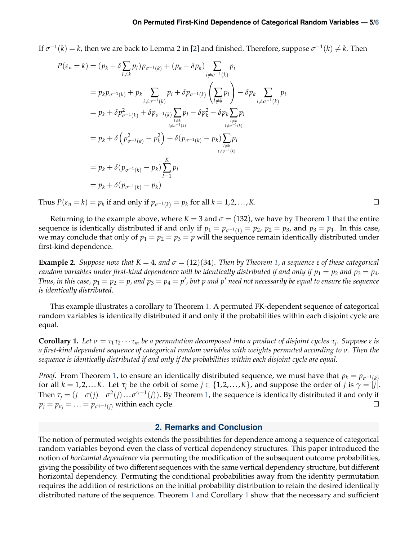#### **On Permuted First-Kind Dependence of Categorical Random Variables — 5[/6](#page-5-3)**

If  $\sigma^{-1}(k) = k$ , then we are back to Lemma 2 in [\[2\]](#page-5-1) and finished. Therefore, suppose  $\sigma^{-1}(k) \neq k$ . Then

$$
P(\varepsilon_n = k) = (p_k + \delta \sum_{l \neq k} p_l) p_{\sigma^{-1}(k)} + (p_k - \delta p_k) \sum_{i \neq \sigma^{-1}(k)} p_i
$$
  
\n
$$
= p_k p_{\sigma^{-1}(k)} + p_k \sum_{i \neq \sigma^{-1}(k)} p_i + \delta p_{\sigma^{-1}(k)} \left( \sum_{l \neq k} p_l \right) - \delta p_k \sum_{i \neq \sigma^{-1}(k)} p_i
$$
  
\n
$$
= p_k + \delta p_{\sigma^{-1}(k)}^2 + \delta p_{\sigma^{-1}(k)} \sum_{\substack{l \neq k \\ l \neq \sigma^{-1}(k)}} p_l - \delta p_k^2 - \delta p_k \sum_{\substack{l \neq k \\ l \neq \sigma^{-1}(k)}} p_l
$$
  
\n
$$
= p_k + \delta \left( p_{\sigma^{-1}(k)}^2 - p_k^2 \right) + \delta \left( p_{\sigma^{-1}(k)} - p_k \right) \sum_{\substack{l \neq k \\ l \neq \sigma^{-1}(k)}} p_l
$$
  
\n
$$
= p_k + \delta \left( p_{\sigma^{-1}(k)} - p_k \right) \sum_{l=1}^K p_l
$$
  
\n
$$
= p_k + \delta \left( p_{\sigma^{-1}(k)} - p_k \right)
$$

Thus  $P(\varepsilon_n = k) = p_k$  if and only if  $p_{\sigma^{-1}(k)} = p_k$  for all  $k = 1, 2, ..., K$ .

Returning to the example above, where  $K = 3$  and  $\sigma = (132)$  $\sigma = (132)$  $\sigma = (132)$ , we have by Theorem 1 that the entire sequence is identically distributed if and only if  $p_1 = p_{\sigma^{-1}(1)} = p_2$ ,  $p_2 = p_3$ , and  $p_3 = p_1$ . In this case, we may conclude that only of  $p_1 = p_2 = p_3 = p$  will the sequence remain identically distributed under first-kind dependence.

**Example 2.** *Suppose now that*  $K = 4$ *, and*  $σ = (12)(34)$ *. Then by Theorem* 1*, a sequence*  $ε$  *of these categorical random variables under first-kind dependence will be identically distributed if and only if*  $p_1 = p_2$  *and*  $p_3 = p_4$ *. Thus, in this case,*  $p_1 = p_2 = p$ *, and*  $p_3 = p_4 = p'$ *, but*  $p$  *and*  $p'$  *need not necessarily be equal to ensure the sequence is identically distributed.*

This example illustrates a corollary to Theorem [1.](#page-3-0) A permuted FK-dependent sequence of categorical random variables is identically distributed if and only if the probabilities within each disjoint cycle are equal.

<span id="page-4-1"></span>**Corollary 1.** Let  $\sigma = \tau_1\tau_2\cdots\tau_m$  be a permutation decomposed into a product of disjoint cycles  $\tau_j$ . Suppose  $\varepsilon$  is *a first-kind dependent sequence of categorical random variables with weights permuted according to σ. Then the sequence is identically distributed if and only if the probabilities within each disjoint cycle are equal.*

*Proof.* From Theorem [1,](#page-3-0) to ensure an identically distributed sequence, we must have that  $p_k = p_{\sigma^{-1}(k)}$ for all  $k = 1, 2, \ldots K$ . Let  $\tau_i$  be the orbit of some  $j \in \{1, 2, \ldots, K\}$ , and suppose the order of *j* is  $\gamma = |j|$ . Then  $\tau_j = (j \sigma(j) \sigma^2(j) \dots \sigma^{\gamma-1}(j))$ . By Theorem [1,](#page-3-0) the sequence is identically distributed if and only if  $p_j = p_{\sigma_j} = \ldots = p_{\sigma^{\gamma-1}(j)}$  within each cycle.  $\Box$ 

## **2. Remarks and Conclusion**

<span id="page-4-0"></span>The notion of permuted weights extends the possibilities for dependence among a sequence of categorical random variables beyond even the class of vertical dependency structures. This paper introduced the notion of *horizontal dependence* via permuting the modification of the subsequent outcome probabilities, giving the possibility of two different sequences with the same vertical dependency structure, but different horizontal dependency. Permuting the conditional probabilities away from the identity permutation requires the addition of restrictions on the initial probability distribution to retain the desired identically distributed nature of the sequence. Theorem [1](#page-3-0) and Corollary [1](#page-4-1) show that the necessary and sufficient

 $\Box$